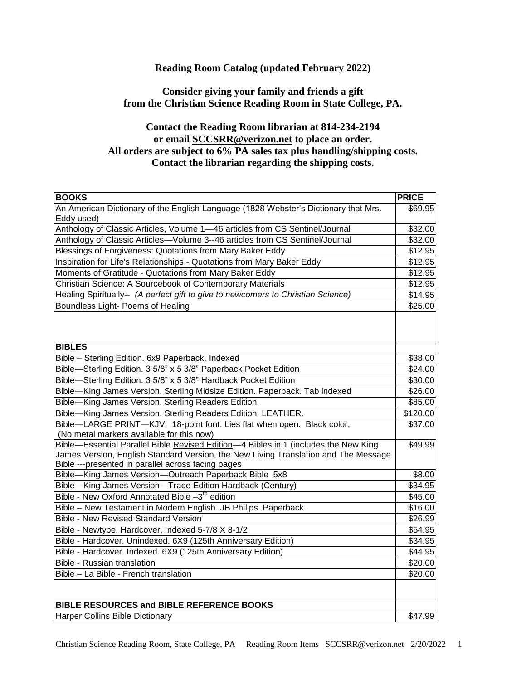## **Reading Room Catalog (updated February 2022)**

## **Consider giving your family and friends a gift from the Christian Science Reading Room in State College, PA.**

## **Contact the Reading Room librarian at 814-234-2194 or email [SCCSRR@verizon.net](mailto:starpenn@juno.com) to place an order. All orders are subject to 6% PA sales tax plus handling/shipping costs. Contact the librarian regarding the shipping costs.**

| <b>BOOKS</b>                                                                                                             | <b>PRICE</b>       |
|--------------------------------------------------------------------------------------------------------------------------|--------------------|
| An American Dictionary of the English Language (1828 Webster's Dictionary that Mrs.                                      | \$69.95            |
| Eddy used)                                                                                                               |                    |
| Anthology of Classic Articles, Volume 1-46 articles from CS Sentinel/Journal                                             | \$32.00            |
| Anthology of Classic Articles-Volume 3--46 articles from CS Sentinel/Journal                                             | \$32.00            |
| Blessings of Forgiveness: Quotations from Mary Baker Eddy                                                                | \$12.95            |
| Inspiration for Life's Relationships - Quotations from Mary Baker Eddy                                                   | \$12.95            |
| Moments of Gratitude - Quotations from Mary Baker Eddy                                                                   | \$12.95            |
| Christian Science: A Sourcebook of Contemporary Materials                                                                | \$12.95            |
| Healing Spiritually-- (A perfect gift to give to newcomers to Christian Science)                                         | \$14.95            |
| Boundless Light- Poems of Healing                                                                                        | \$25.00            |
| <b>BIBLES</b>                                                                                                            |                    |
| Bible - Sterling Edition. 6x9 Paperback. Indexed                                                                         | \$38.00            |
| Bible-Sterling Edition. 3 5/8" x 5 3/8" Paperback Pocket Edition                                                         | \$24.00            |
| Bible-Sterling Edition. 3 5/8" x 5 3/8" Hardback Pocket Edition                                                          | \$30.00            |
| Bible-King James Version. Sterling Midsize Edition. Paperback. Tab indexed                                               | \$26.00            |
| Bible-King James Version. Sterling Readers Edition.                                                                      | \$85.00            |
| Bible-King James Version. Sterling Readers Edition. LEATHER.                                                             | \$120.00           |
| Bible-LARGE PRINT-KJV. 18-point font. Lies flat when open. Black color.                                                  | \$37.00            |
| (No metal markers available for this now)                                                                                |                    |
| Bible-Essential Parallel Bible Revised Edition-4 Bibles in 1 (includes the New King                                      | \$49.99            |
| James Version, English Standard Version, the New Living Translation and The Message                                      |                    |
| Bible ---presented in parallel across facing pages                                                                       |                    |
| Bible-King James Version-Outreach Paperback Bible 5x8                                                                    | \$8.00<br>334.95   |
| Bible-King James Version-Trade Edition Hardback (Century)<br>Bible - New Oxford Annotated Bible -3 <sup>rd</sup> edition |                    |
|                                                                                                                          | \$45.00<br>\$16.00 |
| Bible - New Testament in Modern English. JB Philips. Paperback.<br><b>Bible - New Revised Standard Version</b>           | \$26.99            |
|                                                                                                                          | \$54.95            |
| Bible - Newtype. Hardcover, Indexed 5-7/8 X 8-1/2<br>Bible - Hardcover. Unindexed. 6X9 (125th Anniversary Edition)       | \$34.95            |
| Bible - Hardcover. Indexed. 6X9 (125th Anniversary Edition)                                                              | \$44.95            |
| Bible - Russian translation                                                                                              | \$20.00            |
| Bible - La Bible - French translation                                                                                    |                    |
|                                                                                                                          | \$20.00            |
| <b>BIBLE RESOURCES and BIBLE REFERENCE BOOKS</b>                                                                         |                    |
| Harper Collins Bible Dictionary                                                                                          | \$47.99            |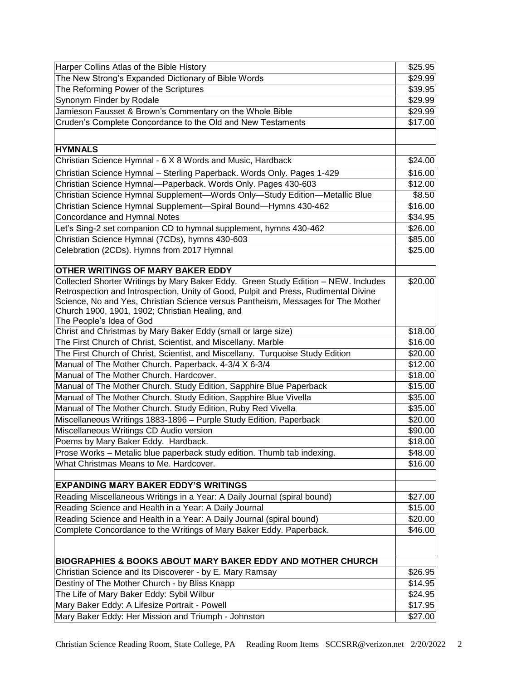| Harper Collins Atlas of the Bible History                                                        | \$25.95            |
|--------------------------------------------------------------------------------------------------|--------------------|
| The New Strong's Expanded Dictionary of Bible Words                                              | \$29.99            |
| The Reforming Power of the Scriptures                                                            | \$39.95            |
| Synonym Finder by Rodale                                                                         | \$29.99            |
| Jamieson Fausset & Brown's Commentary on the Whole Bible                                         | \$29.99            |
| Cruden's Complete Concordance to the Old and New Testaments                                      | \$17.00            |
|                                                                                                  |                    |
|                                                                                                  |                    |
| <b>HYMNALS</b>                                                                                   |                    |
| Christian Science Hymnal - 6 X 8 Words and Music, Hardback                                       | \$24.00            |
| Christian Science Hymnal - Sterling Paperback. Words Only. Pages 1-429                           | \$16.00            |
| Christian Science Hymnal-Paperback. Words Only. Pages 430-603                                    | \$12.00            |
| Christian Science Hymnal Supplement-Words Only-Study Edition-Metallic Blue                       | \$8.50             |
| Christian Science Hymnal Supplement-Spiral Bound-Hymns 430-462                                   | \$16.00            |
| Concordance and Hymnal Notes                                                                     | \$34.95            |
| Let's Sing-2 set companion CD to hymnal supplement, hymns 430-462                                | \$26.00            |
| Christian Science Hymnal (7CDs), hymns 430-603                                                   | \$85.00            |
| Celebration (2CDs). Hymns from 2017 Hymnal                                                       | \$25.00            |
|                                                                                                  |                    |
| <b>OTHER WRITINGS OF MARY BAKER EDDY</b>                                                         |                    |
| Collected Shorter Writings by Mary Baker Eddy. Green Study Edition - NEW. Includes               | \$20.00            |
| Retrospection and Introspection, Unity of Good, Pulpit and Press, Rudimental Divine              |                    |
| Science, No and Yes, Christian Science versus Pantheism, Messages for The Mother                 |                    |
| Church 1900, 1901, 1902; Christian Healing, and                                                  |                    |
| The People's Idea of God<br>Christ and Christmas by Mary Baker Eddy (small or large size)        |                    |
| The First Church of Christ, Scientist, and Miscellany. Marble                                    | \$18.00<br>\$16.00 |
| The First Church of Christ, Scientist, and Miscellany. Turquoise Study Edition                   |                    |
|                                                                                                  | \$20.00            |
| Manual of The Mother Church. Paperback. 4-3/4 X 6-3/4<br>Manual of The Mother Church. Hardcover. | \$12.00            |
|                                                                                                  | \$18.00            |
| Manual of The Mother Church. Study Edition, Sapphire Blue Paperback                              | \$15.00            |
| Manual of The Mother Church. Study Edition, Sapphire Blue Vivella                                | \$35.00            |
| Manual of The Mother Church. Study Edition, Ruby Red Vivella                                     | \$35.00            |
| Miscellaneous Writings 1883-1896 - Purple Study Edition. Paperback                               | \$20.00            |
| Miscellaneous Writings CD Audio version                                                          | \$90.00            |
| Poems by Mary Baker Eddy. Hardback.                                                              | \$18.00            |
| Prose Works - Metalic blue paperback study edition. Thumb tab indexing.                          | \$48.00            |
| What Christmas Means to Me. Hardcover.                                                           | \$16.00            |
|                                                                                                  |                    |
| <b>EXPANDING MARY BAKER EDDY'S WRITINGS</b>                                                      |                    |
| Reading Miscellaneous Writings in a Year: A Daily Journal (spiral bound)                         | \$27.00            |
| Reading Science and Health in a Year: A Daily Journal                                            | \$15.00            |
| Reading Science and Health in a Year: A Daily Journal (spiral bound)                             | \$20.00            |
| Complete Concordance to the Writings of Mary Baker Eddy. Paperback.                              | \$46.00            |
|                                                                                                  |                    |
| <b>BIOGRAPHIES &amp; BOOKS ABOUT MARY BAKER EDDY AND MOTHER CHURCH</b>                           |                    |
|                                                                                                  |                    |
| Christian Science and Its Discoverer - by E. Mary Ramsay                                         | \$26.95            |
| Destiny of The Mother Church - by Bliss Knapp                                                    | \$14.95            |
| The Life of Mary Baker Eddy: Sybil Wilbur                                                        | \$24.95            |
| Mary Baker Eddy: A Lifesize Portrait - Powell                                                    | \$17.95            |
| Mary Baker Eddy: Her Mission and Triumph - Johnston                                              | \$27.00            |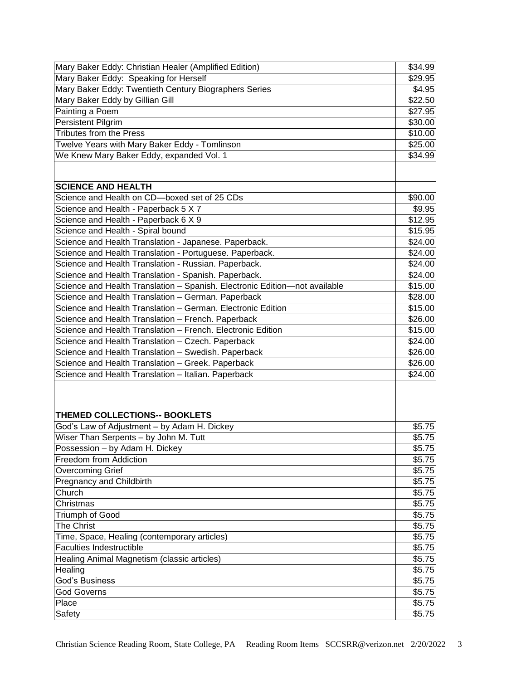| Mary Baker Eddy: Christian Healer (Amplified Edition)                      | \$34.99 |
|----------------------------------------------------------------------------|---------|
| Mary Baker Eddy: Speaking for Herself                                      | \$29.95 |
| Mary Baker Eddy: Twentieth Century Biographers Series                      | \$4.95  |
| Mary Baker Eddy by Gillian Gill                                            | \$22.50 |
| Painting a Poem                                                            | \$27.95 |
| <b>Persistent Pilgrim</b>                                                  | \$30.00 |
| <b>Tributes from the Press</b>                                             | \$10.00 |
| Twelve Years with Mary Baker Eddy - Tomlinson                              | \$25.00 |
| We Knew Mary Baker Eddy, expanded Vol. 1                                   | \$34.99 |
|                                                                            |         |
|                                                                            |         |
| <b>SCIENCE AND HEALTH</b>                                                  |         |
| Science and Health on CD-boxed set of 25 CDs                               | \$90.00 |
| Science and Health - Paperback 5 X 7                                       | \$9.95  |
| Science and Health - Paperback 6 X 9                                       | \$12.95 |
| Science and Health - Spiral bound                                          | \$15.95 |
| Science and Health Translation - Japanese. Paperback.                      | \$24.00 |
| Science and Health Translation - Portuguese. Paperback.                    | \$24.00 |
| Science and Health Translation - Russian. Paperback.                       | \$24.00 |
| Science and Health Translation - Spanish. Paperback.                       | \$24.00 |
| Science and Health Translation - Spanish. Electronic Edition-not available | \$15.00 |
| Science and Health Translation - German. Paperback                         | \$28.00 |
| Science and Health Translation - German. Electronic Edition                | \$15.00 |
| Science and Health Translation - French. Paperback                         | \$26.00 |
| Science and Health Translation - French. Electronic Edition                | \$15.00 |
| Science and Health Translation - Czech. Paperback                          | \$24.00 |
| Science and Health Translation - Swedish. Paperback                        | \$26.00 |
| Science and Health Translation - Greek. Paperback                          | \$26.00 |
| Science and Health Translation - Italian. Paperback                        | \$24.00 |
|                                                                            |         |
|                                                                            |         |
|                                                                            |         |
| <b>THEMED COLLECTIONS-- BOOKLETS</b>                                       |         |
| God's Law of Adjustment - by Adam H. Dickey                                | \$5.75  |
| Wiser Than Serpents - by John M. Tutt                                      | \$5.75  |
| Possession - by Adam H. Dickey                                             | \$5.75  |
| Freedom from Addiction                                                     | \$5.75  |
| <b>Overcoming Grief</b>                                                    | \$5.75  |
| Pregnancy and Childbirth                                                   | \$5.75  |
| Church                                                                     | \$5.75  |
| Christmas                                                                  | \$5.75  |
| Triumph of Good                                                            | \$5.75  |
| <b>The Christ</b>                                                          | \$5.75  |
| Time, Space, Healing (contemporary articles)                               | \$5.75  |
| <b>Faculties Indestructible</b>                                            | \$5.75  |
| Healing Animal Magnetism (classic articles)                                | \$5.75  |
| Healing                                                                    | \$5.75  |
| God's Business                                                             | \$5.75  |
| <b>God Governs</b>                                                         | \$5.75  |
| Place                                                                      | \$5.75  |
| Safety                                                                     | \$5.75  |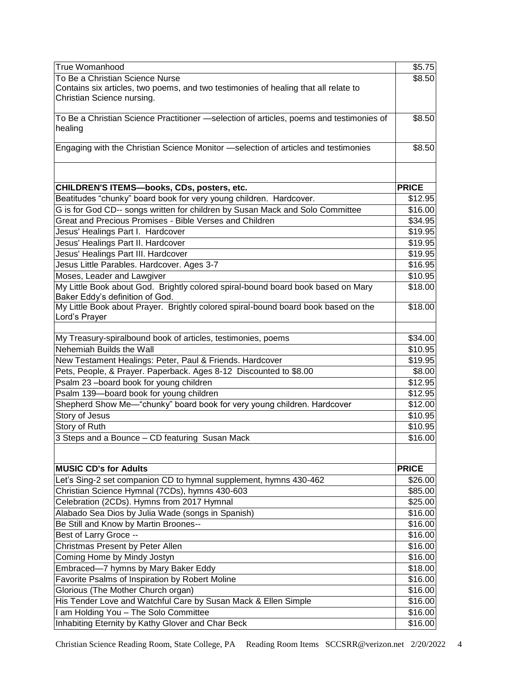| True Womanhood                                                                                      | $\overline{$}5.75$ |
|-----------------------------------------------------------------------------------------------------|--------------------|
| To Be a Christian Science Nurse                                                                     | \$8.50             |
| Contains six articles, two poems, and two testimonies of healing that all relate to                 |                    |
| Christian Science nursing.                                                                          |                    |
|                                                                                                     |                    |
| To Be a Christian Science Practitioner -selection of articles, poems and testimonies of             | \$8.50             |
| healing                                                                                             |                    |
| Engaging with the Christian Science Monitor -selection of articles and testimonies                  | \$8.50             |
|                                                                                                     |                    |
|                                                                                                     |                    |
|                                                                                                     |                    |
| CHILDREN'S ITEMS-books, CDs, posters, etc.                                                          | <b>PRICE</b>       |
| Beatitudes "chunky" board book for very young children. Hardcover.                                  | \$12.95            |
| G is for God CD-- songs written for children by Susan Mack and Solo Committee                       | \$16.00            |
| Great and Precious Promises - Bible Verses and Children                                             | \$34.95            |
| Jesus' Healings Part I. Hardcover                                                                   | \$19.95            |
| Jesus' Healings Part II. Hardcover                                                                  | \$19.95            |
| Jesus' Healings Part III. Hardcover                                                                 | \$19.95            |
| Jesus Little Parables. Hardcover. Ages 3-7                                                          | \$16.95            |
| Moses, Leader and Lawgiver                                                                          | \$10.95            |
| My Little Book about God. Brightly colored spiral-bound board book based on Mary                    | \$18.00            |
| Baker Eddy's definition of God.                                                                     |                    |
| My Little Book about Prayer. Brightly colored spiral-bound board book based on the<br>Lord's Prayer | \$18.00            |
|                                                                                                     |                    |
| My Treasury-spiralbound book of articles, testimonies, poems                                        | \$34.00            |
| Nehemiah Builds the Wall                                                                            | \$10.95            |
| New Testament Healings: Peter, Paul & Friends. Hardcover                                            | \$19.95            |
| Pets, People, & Prayer. Paperback. Ages 8-12 Discounted to \$8.00                                   | \$8.00             |
| Psalm 23-board book for young children                                                              | \$12.95            |
| Psalm 139-board book for young children                                                             | \$12.95            |
| Shepherd Show Me-"chunky" board book for very young children. Hardcover                             | \$12.00            |
| Story of Jesus                                                                                      | \$10.95            |
| <b>Story of Ruth</b>                                                                                | \$10.95            |
| 3 Steps and a Bounce - CD featuring Susan Mack                                                      | \$16.00            |
|                                                                                                     |                    |
|                                                                                                     |                    |
| <b>MUSIC CD's for Adults</b>                                                                        | <b>PRICE</b>       |
| Let's Sing-2 set companion CD to hymnal supplement, hymns 430-462                                   | \$26.00            |
| Christian Science Hymnal (7CDs), hymns 430-603                                                      | \$85.00            |
| Celebration (2CDs). Hymns from 2017 Hymnal                                                          | \$25.00            |
| Alabado Sea Dios by Julia Wade (songs in Spanish)                                                   | \$16.00            |
| Be Still and Know by Martin Broones--                                                               | \$16.00            |
| Best of Larry Groce --                                                                              | \$16.00            |
| Christmas Present by Peter Allen                                                                    | \$16.00            |
| Coming Home by Mindy Jostyn                                                                         | \$16.00            |
| Embraced-7 hymns by Mary Baker Eddy                                                                 | \$18.00            |
| Favorite Psalms of Inspiration by Robert Moline                                                     | \$16.00            |
| Glorious (The Mother Church organ)                                                                  | \$16.00            |
| His Tender Love and Watchful Care by Susan Mack & Ellen Simple                                      | \$16.00            |
| I am Holding You - The Solo Committee                                                               | \$16.00            |
| Inhabiting Eternity by Kathy Glover and Char Beck                                                   | \$16.00            |